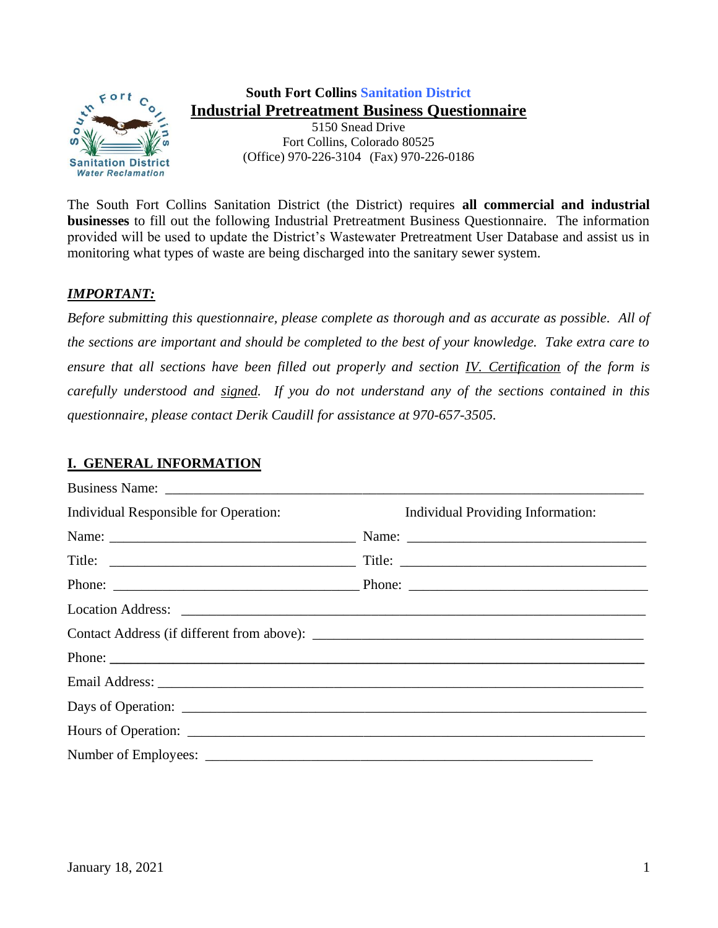

# **South Fort Collins Sanitation District Industrial Pretreatment Business Questionnaire**

5150 Snead Drive Fort Collins, Colorado 80525 (Office) 970-226-3104 (Fax) 970-226-0186

The South Fort Collins Sanitation District (the District) requires **all commercial and industrial businesses** to fill out the following Industrial Pretreatment Business Questionnaire. The information provided will be used to update the District's Wastewater Pretreatment User Database and assist us in monitoring what types of waste are being discharged into the sanitary sewer system.

### *IMPORTANT:*

*Before submitting this questionnaire, please complete as thorough and as accurate as possible. All of the sections are important and should be completed to the best of your knowledge. Take extra care to ensure that all sections have been filled out properly and section IV. Certification of the form is carefully understood and signed. If you do not understand any of the sections contained in this questionnaire, please contact Derik Caudill for assistance at 970-657-3505.*

## **I. GENERAL INFORMATION**

| Individual Responsible for Operation: | <b>Individual Providing Information:</b> |
|---------------------------------------|------------------------------------------|
|                                       |                                          |
|                                       |                                          |
|                                       |                                          |
|                                       |                                          |
|                                       |                                          |
|                                       | Phone:                                   |
|                                       |                                          |
|                                       |                                          |
|                                       |                                          |
|                                       |                                          |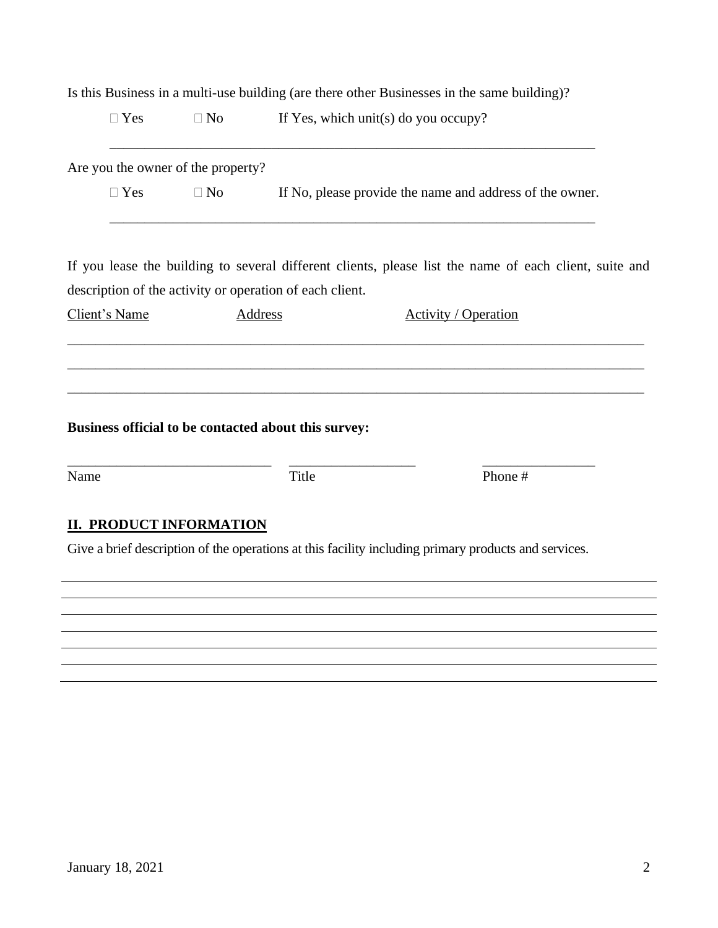|                                    |           | Is this Business in a multi-use building (are there other Businesses in the same building)?               |
|------------------------------------|-----------|-----------------------------------------------------------------------------------------------------------|
| $\Box$ Yes                         | $\Box$ No | If Yes, which unit(s) do you occupy?                                                                      |
| Are you the owner of the property? |           |                                                                                                           |
| $\Box$ Yes                         | $\Box$ No | If No, please provide the name and address of the owner.                                                  |
|                                    |           | If you lease the building to several different clients, please list the name of each client, suite and    |
| Client's Name                      |           | description of the activity or operation of each client.<br><b>Address</b><br><b>Activity / Operation</b> |
|                                    |           |                                                                                                           |
|                                    |           |                                                                                                           |
|                                    |           |                                                                                                           |
|                                    |           |                                                                                                           |
|                                    |           | Business official to be contacted about this survey:                                                      |
|                                    |           | Title<br>Phone #                                                                                          |
| <b>II. PRODUCT INFORMATION</b>     |           |                                                                                                           |
|                                    |           | Give a brief description of the operations at this facility including primary products and services.      |
|                                    |           |                                                                                                           |
| Name                               |           |                                                                                                           |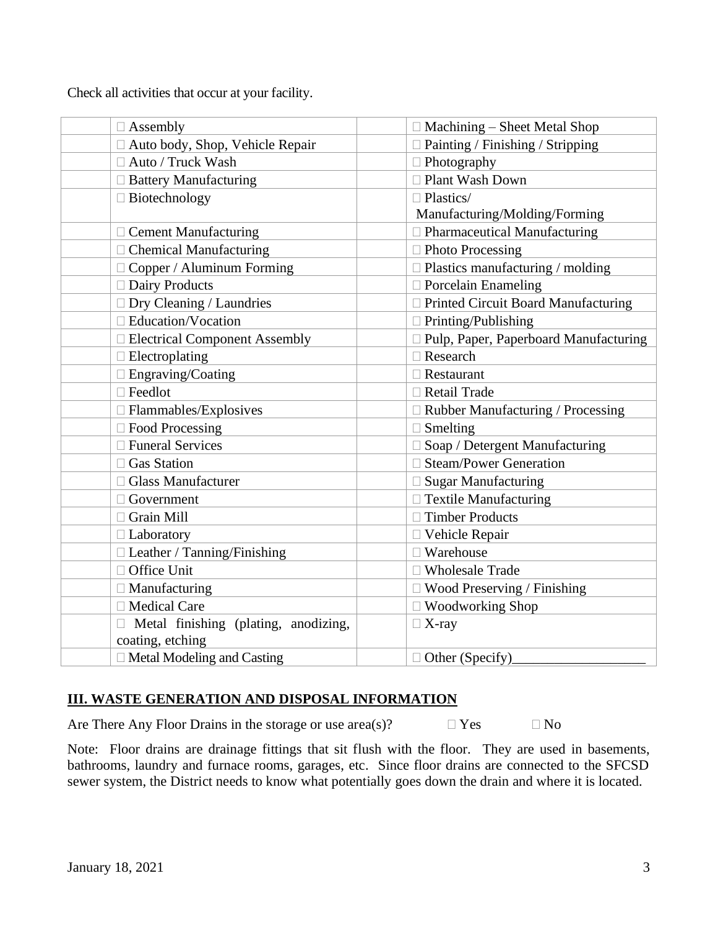Check all activities that occur at your facility.

| $\Box$ Assembly                             | $\Box$ Machining – Sheet Metal Shop          |
|---------------------------------------------|----------------------------------------------|
| Auto body, Shop, Vehicle Repair             | $\Box$ Painting / Finishing / Stripping      |
| □ Auto / Truck Wash                         | $\Box$ Photography                           |
| □ Battery Manufacturing                     | □ Plant Wash Down                            |
| $\Box$ Biotechnology                        | $\Box$ Plastics/                             |
|                                             | Manufacturing/Molding/Forming                |
| $\Box$ Cement Manufacturing                 | $\Box$ Pharmaceutical Manufacturing          |
| $\Box$ Chemical Manufacturing               | □ Photo Processing                           |
| $\Box$ Copper / Aluminum Forming            | $\Box$ Plastics manufacturing / molding      |
| □ Dairy Products                            | $\Box$ Porcelain Enameling                   |
| $\Box$ Dry Cleaning / Laundries             | □ Printed Circuit Board Manufacturing        |
| $\Box$ Education/Vocation                   | $\Box$ Printing/Publishing                   |
| □ Electrical Component Assembly             | $\Box$ Pulp, Paper, Paperboard Manufacturing |
| $\Box$ Electroplating                       | $\Box$ Research                              |
| $\Box$ Engraving/Coating                    | $\Box$ Restaurant                            |
| $\Box$ Feedlot                              | □ Retail Trade                               |
| $\Box$ Flammables/Explosives                | □ Rubber Manufacturing / Processing          |
| $\Box$ Food Processing                      | $\Box$ Smelting                              |
| □ Funeral Services                          | Soap / Detergent Manufacturing               |
| □ Gas Station                               | <b>Steam/Power Generation</b>                |
| □ Glass Manufacturer                        | <b>Sugar Manufacturing</b>                   |
| $\Box$ Government                           | $\Box$ Textile Manufacturing                 |
| □ Grain Mill                                | □ Timber Products                            |
| $\Box$ Laboratory                           | □ Vehicle Repair                             |
| $\Box$ Leather / Tanning/Finishing          | $\Box$ Warehouse                             |
| □ Office Unit                               | <b>Wholesale Trade</b><br>$\Box$             |
| $\Box$ Manufacturing                        | $\Box$ Wood Preserving / Finishing           |
| □ Medical Care                              | $\Box$ Woodworking Shop                      |
| $\Box$ Metal finishing (plating, anodizing, | $\Box$ X-ray                                 |
| coating, etching                            |                                              |
| $\Box$ Metal Modeling and Casting           | $\Box$ Other (Specify)                       |

# **III. WASTE GENERATION AND DISPOSAL INFORMATION**

Are There Any Floor Drains in the storage or use area(s)?  $\Box$  Yes  $\Box$  No

Note: Floor drains are drainage fittings that sit flush with the floor. They are used in basements, bathrooms, laundry and furnace rooms, garages, etc. Since floor drains are connected to the SFCSD sewer system, the District needs to know what potentially goes down the drain and where it is located.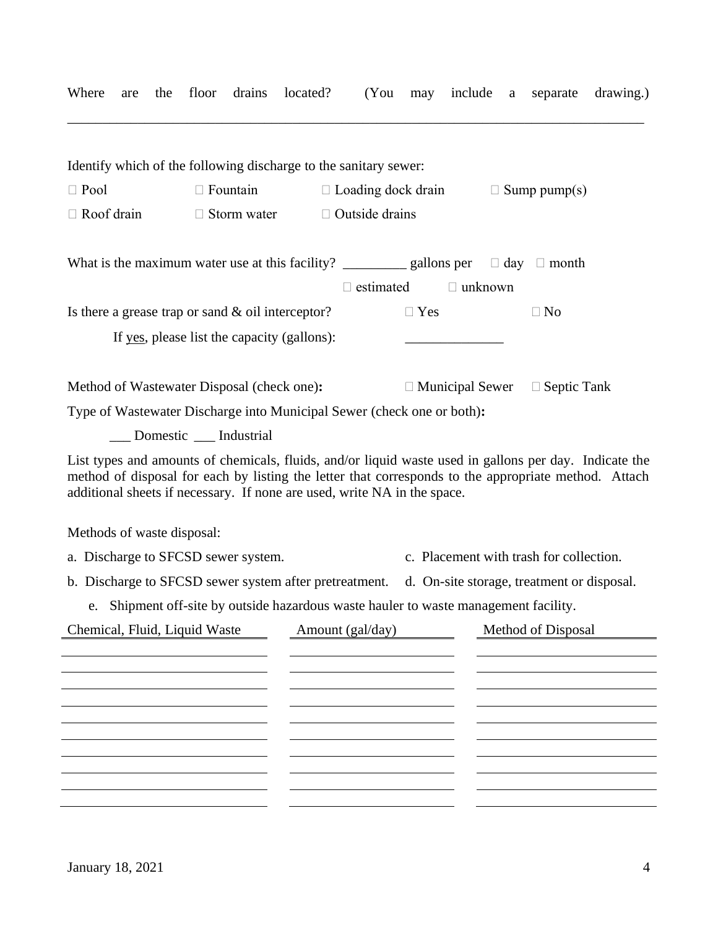| Where<br>the<br>are           | floor<br>drains                                                                                                                                                                                                                                                                            | located?<br>(You      | may                       | include a      | drawing.)<br>separate                     |
|-------------------------------|--------------------------------------------------------------------------------------------------------------------------------------------------------------------------------------------------------------------------------------------------------------------------------------------|-----------------------|---------------------------|----------------|-------------------------------------------|
|                               | Identify which of the following discharge to the sanitary sewer:                                                                                                                                                                                                                           |                       |                           |                |                                           |
| $\Box$ Pool                   | $\Box$ Fountain                                                                                                                                                                                                                                                                            |                       | $\Box$ Loading dock drain |                | $\Box$ Sump pump(s)                       |
| $\Box$ Roof drain             | $\Box$ Storm water                                                                                                                                                                                                                                                                         | $\Box$ Outside drains |                           |                |                                           |
|                               |                                                                                                                                                                                                                                                                                            |                       |                           |                |                                           |
|                               |                                                                                                                                                                                                                                                                                            | $\Box$ estimated      |                           | $\Box$ unknown |                                           |
|                               | Is there a grease trap or sand $\&$ oil interceptor?                                                                                                                                                                                                                                       |                       | $\Box$ Yes                |                | $\Box$ No                                 |
|                               | If yes, please list the capacity (gallons):                                                                                                                                                                                                                                                |                       |                           |                |                                           |
|                               | Method of Wastewater Disposal (check one):                                                                                                                                                                                                                                                 |                       |                           |                | $\Box$ Municipal Sewer $\Box$ Septic Tank |
|                               | Type of Wastewater Discharge into Municipal Sewer (check one or both):                                                                                                                                                                                                                     |                       |                           |                |                                           |
|                               | ___ Domestic ___ Industrial                                                                                                                                                                                                                                                                |                       |                           |                |                                           |
|                               | List types and amounts of chemicals, fluids, and/or liquid waste used in gallons per day. Indicate the<br>method of disposal for each by listing the letter that corresponds to the appropriate method. Attach<br>additional sheets if necessary. If none are used, write NA in the space. |                       |                           |                |                                           |
| Methods of waste disposal:    |                                                                                                                                                                                                                                                                                            |                       |                           |                |                                           |
|                               | a. Discharge to SFCSD sewer system.                                                                                                                                                                                                                                                        |                       |                           |                | c. Placement with trash for collection.   |
|                               | b. Discharge to SFCSD sewer system after pretreatment. d. On-site storage, treatment or disposal.                                                                                                                                                                                          |                       |                           |                |                                           |
|                               | e. Shipment off-site by outside hazardous waste hauler to waste management facility.                                                                                                                                                                                                       |                       |                           |                |                                           |
| Chemical, Fluid, Liquid Waste |                                                                                                                                                                                                                                                                                            | Amount (gal/day)      |                           |                | Method of Disposal                        |
|                               |                                                                                                                                                                                                                                                                                            |                       |                           |                |                                           |
|                               |                                                                                                                                                                                                                                                                                            |                       |                           |                |                                           |
|                               |                                                                                                                                                                                                                                                                                            |                       |                           |                |                                           |
|                               |                                                                                                                                                                                                                                                                                            |                       |                           |                |                                           |
|                               |                                                                                                                                                                                                                                                                                            |                       |                           |                |                                           |
|                               |                                                                                                                                                                                                                                                                                            |                       |                           |                |                                           |
|                               |                                                                                                                                                                                                                                                                                            |                       |                           |                |                                           |